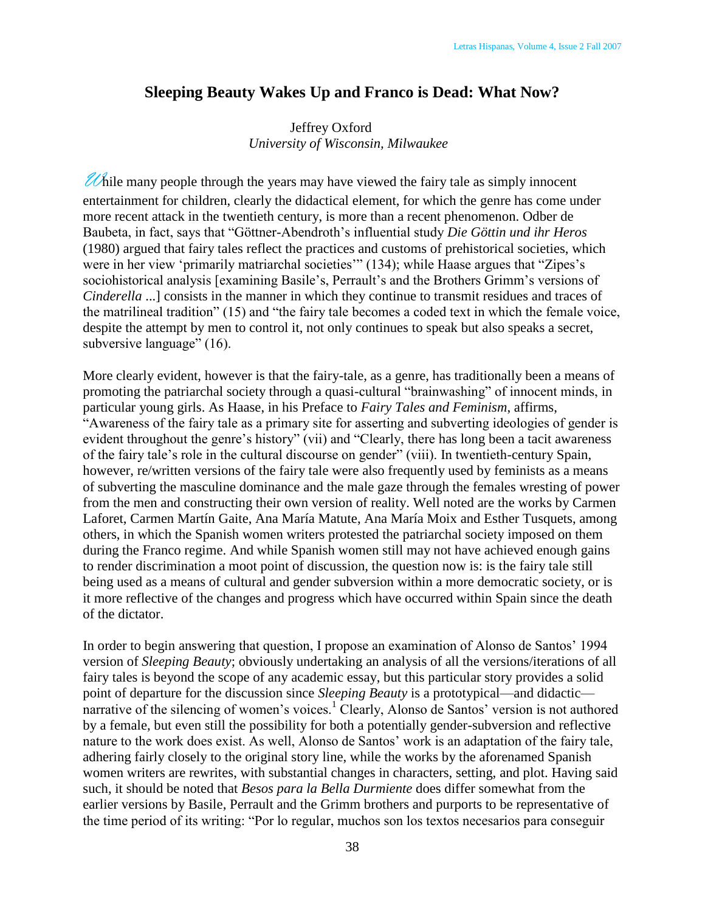## **Sleeping Beauty Wakes Up and Franco is Dead: What Now?**

## Jeffrey Oxford *University of Wisconsin, Milwaukee*

 $\mathscr{U}$  hile many people through the years may have viewed the fairy tale as simply innocent entertainment for children, clearly the didactical element, for which the genre has come under more recent attack in the twentieth century, is more than a recent phenomenon. Odber de Baubeta, in fact, says that "Göttner-Abendroth"s influential study *Die Göttin und ihr Heros* (1980) argued that fairy tales reflect the practices and customs of prehistorical societies, which were in her view 'primarily matriarchal societies'" (134); while Haase argues that "Zipes's sociohistorical analysis [examining Basile's, Perrault's and the Brothers Grimm's versions of *Cinderella* ...] consists in the manner in which they continue to transmit residues and traces of the matrilineal tradition" (15) and "the fairy tale becomes a coded text in which the female voice, despite the attempt by men to control it, not only continues to speak but also speaks a secret, subversive language" (16).

More clearly evident, however is that the fairy-tale, as a genre, has traditionally been a means of promoting the patriarchal society through a quasi-cultural "brainwashing" of innocent minds, in particular young girls. As Haase, in his Preface to *Fairy Tales and Feminism*, affirms, "Awareness of the fairy tale as a primary site for asserting and subverting ideologies of gender is evident throughout the genre's history" (vii) and "Clearly, there has long been a tacit awareness of the fairy tale"s role in the cultural discourse on gender" (viii). In twentieth-century Spain, however, re/written versions of the fairy tale were also frequently used by feminists as a means of subverting the masculine dominance and the male gaze through the females wresting of power from the men and constructing their own version of reality. Well noted are the works by Carmen Laforet, Carmen Martín Gaite, Ana María Matute, Ana María Moix and Esther Tusquets, among others, in which the Spanish women writers protested the patriarchal society imposed on them during the Franco regime. And while Spanish women still may not have achieved enough gains to render discrimination a moot point of discussion, the question now is: is the fairy tale still being used as a means of cultural and gender subversion within a more democratic society, or is it more reflective of the changes and progress which have occurred within Spain since the death of the dictator.

In order to begin answering that question, I propose an examination of Alonso de Santos' 1994 version of *Sleeping Beauty*; obviously undertaking an analysis of all the versions/iterations of all fairy tales is beyond the scope of any academic essay, but this particular story provides a solid point of departure for the discussion since *Sleeping Beauty* is a prototypical—and didactic narrative of the silencing of women's voices.<sup>1</sup> Clearly, Alonso de Santos' version is not authored by a female, but even still the possibility for both a potentially gender-subversion and reflective nature to the work does exist. As well, Alonso de Santos' work is an adaptation of the fairy tale, adhering fairly closely to the original story line, while the works by the aforenamed Spanish women writers are rewrites, with substantial changes in characters, setting, and plot. Having said such, it should be noted that *Besos para la Bella Durmiente* does differ somewhat from the earlier versions by Basile, Perrault and the Grimm brothers and purports to be representative of the time period of its writing: "Por lo regular, muchos son los textos necesarios para conseguir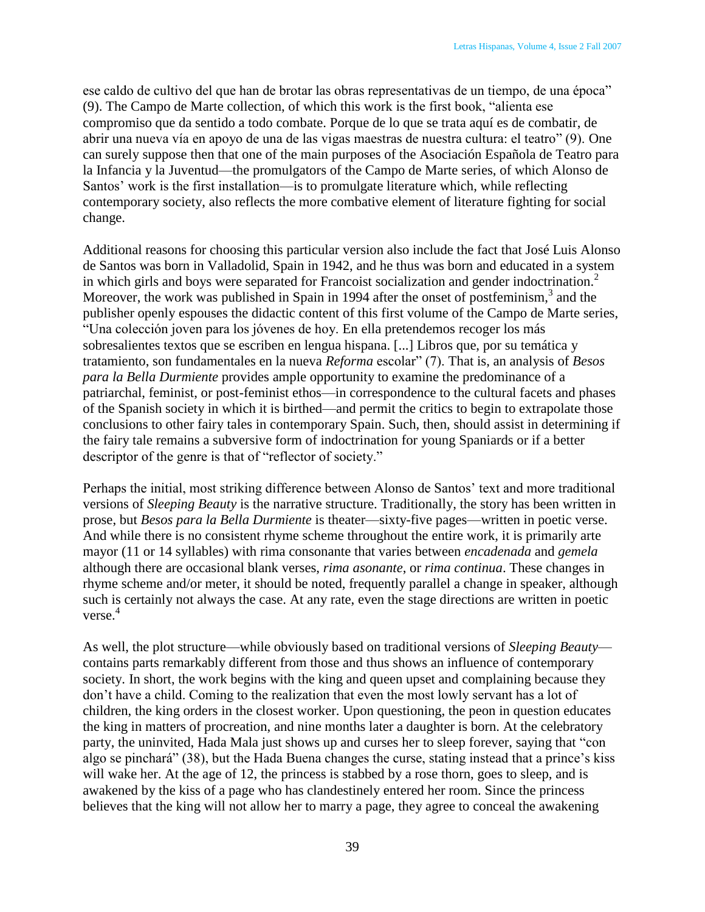ese caldo de cultivo del que han de brotar las obras representativas de un tiempo, de una época" (9). The Campo de Marte collection, of which this work is the first book, "alienta ese compromiso que da sentido a todo combate. Porque de lo que se trata aquí es de combatir, de abrir una nueva vía en apoyo de una de las vigas maestras de nuestra cultura: el teatro" (9). One can surely suppose then that one of the main purposes of the Asociación Española de Teatro para la Infancia y la Juventud—the promulgators of the Campo de Marte series, of which Alonso de Santos' work is the first installation—is to promulgate literature which, while reflecting contemporary society, also reflects the more combative element of literature fighting for social change.

Additional reasons for choosing this particular version also include the fact that José Luis Alonso de Santos was born in Valladolid, Spain in 1942, and he thus was born and educated in a system in which girls and boys were separated for Francoist socialization and gender indoctrination.<sup>2</sup> Moreover, the work was published in Spain in 1994 after the onset of postfeminism,<sup>3</sup> and the publisher openly espouses the didactic content of this first volume of the Campo de Marte series, "Una colección joven para los jóvenes de hoy. En ella pretendemos recoger los más sobresalientes textos que se escriben en lengua hispana. [...] Libros que, por su temática y tratamiento, son fundamentales en la nueva *Reforma* escolar" (7). That is, an analysis of *Besos para la Bella Durmiente* provides ample opportunity to examine the predominance of a patriarchal, feminist, or post-feminist ethos—in correspondence to the cultural facets and phases of the Spanish society in which it is birthed—and permit the critics to begin to extrapolate those conclusions to other fairy tales in contemporary Spain. Such, then, should assist in determining if the fairy tale remains a subversive form of indoctrination for young Spaniards or if a better descriptor of the genre is that of "reflector of society."

Perhaps the initial, most striking difference between Alonso de Santos' text and more traditional versions of *Sleeping Beauty* is the narrative structure. Traditionally, the story has been written in prose, but *Besos para la Bella Durmiente* is theater—sixty-five pages—written in poetic verse. And while there is no consistent rhyme scheme throughout the entire work, it is primarily arte mayor (11 or 14 syllables) with rima consonante that varies between *encadenada* and *gemela* although there are occasional blank verses, *rima asonante*, or *rima continua*. These changes in rhyme scheme and/or meter, it should be noted, frequently parallel a change in speaker, although such is certainly not always the case. At any rate, even the stage directions are written in poetic verse. 4

As well, the plot structure—while obviously based on traditional versions of *Sleeping Beauty* contains parts remarkably different from those and thus shows an influence of contemporary society. In short, the work begins with the king and queen upset and complaining because they don"t have a child. Coming to the realization that even the most lowly servant has a lot of children, the king orders in the closest worker. Upon questioning, the peon in question educates the king in matters of procreation, and nine months later a daughter is born. At the celebratory party, the uninvited, Hada Mala just shows up and curses her to sleep forever, saying that "con algo se pinchará" (38), but the Hada Buena changes the curse, stating instead that a prince"s kiss will wake her. At the age of 12, the princess is stabbed by a rose thorn, goes to sleep, and is awakened by the kiss of a page who has clandestinely entered her room. Since the princess believes that the king will not allow her to marry a page, they agree to conceal the awakening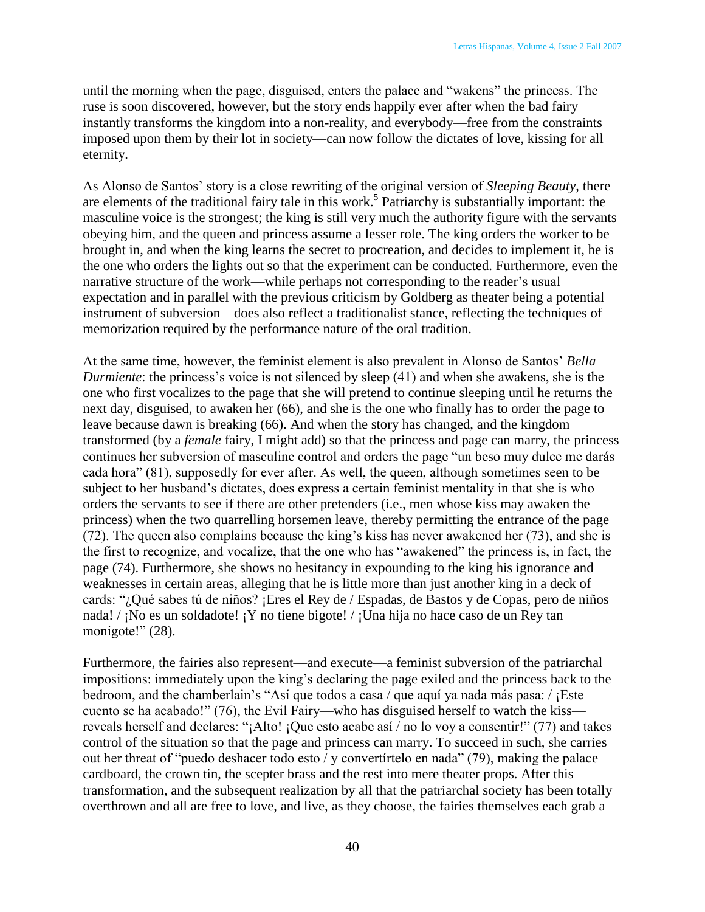until the morning when the page, disguised, enters the palace and "wakens" the princess. The ruse is soon discovered, however, but the story ends happily ever after when the bad fairy instantly transforms the kingdom into a non-reality, and everybody—free from the constraints imposed upon them by their lot in society—can now follow the dictates of love, kissing for all eternity.

As Alonso de Santos" story is a close rewriting of the original version of *Sleeping Beauty*, there are elements of the traditional fairy tale in this work.<sup>5</sup> Patriarchy is substantially important: the masculine voice is the strongest; the king is still very much the authority figure with the servants obeying him, and the queen and princess assume a lesser role. The king orders the worker to be brought in, and when the king learns the secret to procreation, and decides to implement it, he is the one who orders the lights out so that the experiment can be conducted. Furthermore, even the narrative structure of the work—while perhaps not corresponding to the reader's usual expectation and in parallel with the previous criticism by Goldberg as theater being a potential instrument of subversion—does also reflect a traditionalist stance, reflecting the techniques of memorization required by the performance nature of the oral tradition.

At the same time, however, the feminist element is also prevalent in Alonso de Santos" *Bella Durmiente*: the princess's voice is not silenced by sleep (41) and when she awakens, she is the one who first vocalizes to the page that she will pretend to continue sleeping until he returns the next day, disguised, to awaken her (66), and she is the one who finally has to order the page to leave because dawn is breaking (66). And when the story has changed, and the kingdom transformed (by a *female* fairy, I might add) so that the princess and page can marry, the princess continues her subversion of masculine control and orders the page "un beso muy dulce me darás cada hora" (81), supposedly for ever after. As well, the queen, although sometimes seen to be subject to her husband"s dictates, does express a certain feminist mentality in that she is who orders the servants to see if there are other pretenders (i.e., men whose kiss may awaken the princess) when the two quarrelling horsemen leave, thereby permitting the entrance of the page (72). The queen also complains because the king"s kiss has never awakened her (73), and she is the first to recognize, and vocalize, that the one who has "awakened" the princess is, in fact, the page (74). Furthermore, she shows no hesitancy in expounding to the king his ignorance and weaknesses in certain areas, alleging that he is little more than just another king in a deck of cards: "¿Qué sabes tú de niños? ¡Eres el Rey de / Espadas, de Bastos y de Copas, pero de niños nada! / ¡No es un soldadote! ¡Y no tiene bigote! / ¡Una hija no hace caso de un Rey tan monigote!" (28).

Furthermore, the fairies also represent—and execute—a feminist subversion of the patriarchal impositions: immediately upon the king's declaring the page exiled and the princess back to the bedroom, and the chamberlain"s "Así que todos a casa / que aquí ya nada más pasa: / ¡Este cuento se ha acabado!" (76), the Evil Fairy—who has disguised herself to watch the kiss reveals herself and declares: "¡Alto! ¡Que esto acabe así / no lo voy a consentir!" (77) and takes control of the situation so that the page and princess can marry. To succeed in such, she carries out her threat of "puedo deshacer todo esto / y convertírtelo en nada" (79), making the palace cardboard, the crown tin, the scepter brass and the rest into mere theater props. After this transformation, and the subsequent realization by all that the patriarchal society has been totally overthrown and all are free to love, and live, as they choose, the fairies themselves each grab a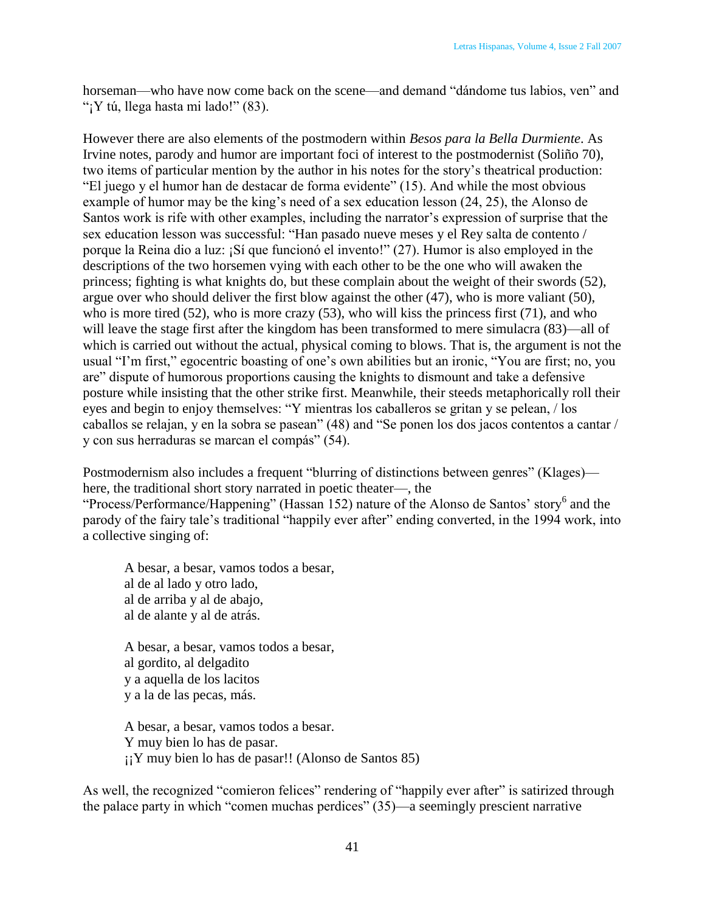horseman—who have now come back on the scene—and demand "dándome tus labios, ven" and "; Y tú, llega hasta mi lado!"  $(83)$ .

However there are also elements of the postmodern within *Besos para la Bella Durmiente*. As Irvine notes, parody and humor are important foci of interest to the postmodernist (Soliño 70), two items of particular mention by the author in his notes for the story"s theatrical production: "El juego y el humor han de destacar de forma evidente" (15). And while the most obvious example of humor may be the king's need of a sex education lesson (24, 25), the Alonso de Santos work is rife with other examples, including the narrator's expression of surprise that the sex education lesson was successful: "Han pasado nueve meses y el Rey salta de contento / porque la Reina dio a luz: ¡Sí que funcionó el invento!" (27). Humor is also employed in the descriptions of the two horsemen vying with each other to be the one who will awaken the princess; fighting is what knights do, but these complain about the weight of their swords (52), argue over who should deliver the first blow against the other (47), who is more valiant (50), who is more tired (52), who is more crazy (53), who will kiss the princess first (71), and who will leave the stage first after the kingdom has been transformed to mere simulacra (83)—all of which is carried out without the actual, physical coming to blows. That is, the argument is not the usual "I"m first," egocentric boasting of one"s own abilities but an ironic, "You are first; no, you are" dispute of humorous proportions causing the knights to dismount and take a defensive posture while insisting that the other strike first. Meanwhile, their steeds metaphorically roll their eyes and begin to enjoy themselves: "Y mientras los caballeros se gritan y se pelean, / los caballos se relajan, y en la sobra se pasean" (48) and "Se ponen los dos jacos contentos a cantar / y con sus herraduras se marcan el compás" (54).

Postmodernism also includes a frequent "blurring of distinctions between genres" (Klages) here, the traditional short story narrated in poetic theater—, the "Process/Performance/Happening" (Hassan 152) nature of the Alonso de Santos' story<sup>6</sup> and the parody of the fairy tale"s traditional "happily ever after" ending converted, in the 1994 work, into a collective singing of:

A besar, a besar, vamos todos a besar, al de al lado y otro lado, al de arriba y al de abajo, al de alante y al de atrás.

A besar, a besar, vamos todos a besar, al gordito, al delgadito y a aquella de los lacitos y a la de las pecas, más.

A besar, a besar, vamos todos a besar. Y muy bien lo has de pasar. ¡¡Y muy bien lo has de pasar!! (Alonso de Santos 85)

As well, the recognized "comieron felices" rendering of "happily ever after" is satirized through the palace party in which "comen muchas perdices" (35)—a seemingly prescient narrative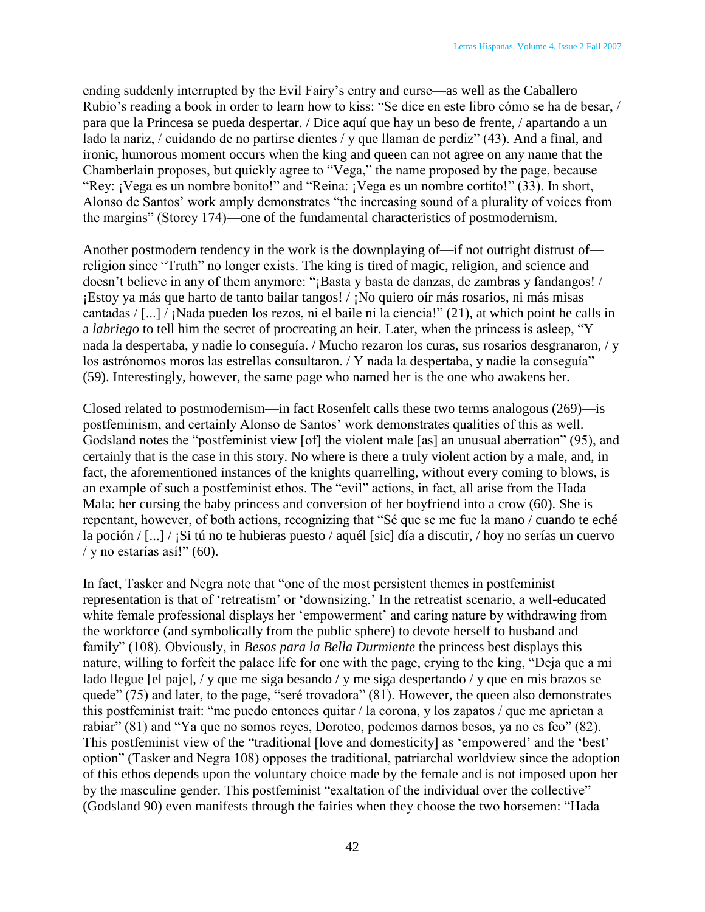ending suddenly interrupted by the Evil Fairy"s entry and curse—as well as the Caballero Rubio"s reading a book in order to learn how to kiss: "Se dice en este libro cómo se ha de besar, / para que la Princesa se pueda despertar. / Dice aquí que hay un beso de frente, / apartando a un lado la nariz, / cuidando de no partirse dientes / y que llaman de perdiz" (43). And a final, and ironic, humorous moment occurs when the king and queen can not agree on any name that the Chamberlain proposes, but quickly agree to "Vega," the name proposed by the page, because "Rey: ¡Vega es un nombre bonito!" and "Reina: ¡Vega es un nombre cortito!" (33). In short, Alonso de Santos" work amply demonstrates "the increasing sound of a plurality of voices from the margins" (Storey 174)—one of the fundamental characteristics of postmodernism.

Another postmodern tendency in the work is the downplaying of—if not outright distrust of religion since "Truth" no longer exists. The king is tired of magic, religion, and science and doesn"t believe in any of them anymore: "¡Basta y basta de danzas, de zambras y fandangos! / ¡Estoy ya más que harto de tanto bailar tangos! / ¡No quiero oír más rosarios, ni más misas cantadas / [...] / ¡Nada pueden los rezos, ni el baile ni la ciencia!" (21), at which point he calls in a *labriego* to tell him the secret of procreating an heir. Later, when the princess is asleep, "Y nada la despertaba, y nadie lo conseguía. / Mucho rezaron los curas, sus rosarios desgranaron, / y los astrónomos moros las estrellas consultaron. / Y nada la despertaba, y nadie la conseguía" (59). Interestingly, however, the same page who named her is the one who awakens her.

Closed related to postmodernism—in fact Rosenfelt calls these two terms analogous (269)—is postfeminism, and certainly Alonso de Santos' work demonstrates qualities of this as well. Godsland notes the "postfeminist view [of] the violent male [as] an unusual aberration" (95), and certainly that is the case in this story. No where is there a truly violent action by a male, and, in fact, the aforementioned instances of the knights quarrelling, without every coming to blows, is an example of such a postfeminist ethos. The "evil" actions, in fact, all arise from the Hada Mala: her cursing the baby princess and conversion of her boyfriend into a crow (60). She is repentant, however, of both actions, recognizing that "Sé que se me fue la mano / cuando te eché la poción / [...] / ¡Si tú no te hubieras puesto / aquél [sic] día a discutir, / hoy no serías un cuervo / y no estarías así!"  $(60)$ .

In fact, Tasker and Negra note that "one of the most persistent themes in postfeminist representation is that of "retreatism" or "downsizing." In the retreatist scenario, a well-educated white female professional displays her 'empowerment' and caring nature by withdrawing from the workforce (and symbolically from the public sphere) to devote herself to husband and family" (108). Obviously, in *Besos para la Bella Durmiente* the princess best displays this nature, willing to forfeit the palace life for one with the page, crying to the king, "Deja que a mi lado llegue [el paje], / y que me siga besando / y me siga despertando / y que en mis brazos se quede" (75) and later, to the page, "seré trovadora" (81). However, the queen also demonstrates this postfeminist trait: "me puedo entonces quitar / la corona, y los zapatos / que me aprietan a rabiar" (81) and "Ya que no somos reyes, Doroteo, podemos darnos besos, ya no es feo" (82). This postfeminist view of the "traditional [love and domesticity] as 'empowered' and the 'best' option" (Tasker and Negra 108) opposes the traditional, patriarchal worldview since the adoption of this ethos depends upon the voluntary choice made by the female and is not imposed upon her by the masculine gender. This postfeminist "exaltation of the individual over the collective" (Godsland 90) even manifests through the fairies when they choose the two horsemen: "Hada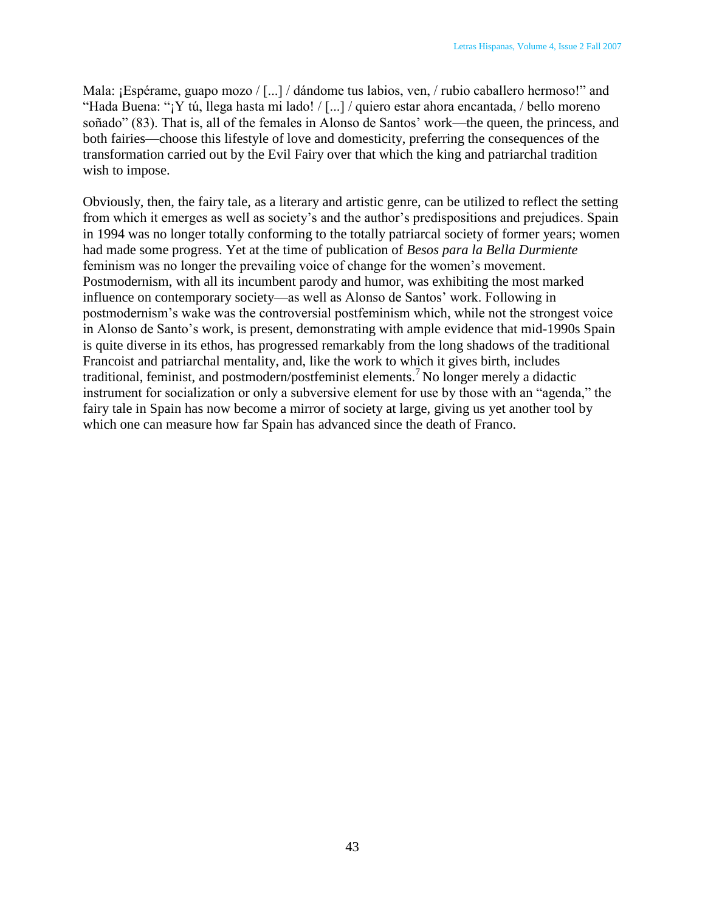Mala: ¡Espérame, guapo mozo / [...] / dándome tus labios, ven, / rubio caballero hermoso!" and "Hada Buena: "¡Y tú, llega hasta mi lado! / [...] / quiero estar ahora encantada, / bello moreno soñado" (83). That is, all of the females in Alonso de Santos' work—the queen, the princess, and both fairies—choose this lifestyle of love and domesticity, preferring the consequences of the transformation carried out by the Evil Fairy over that which the king and patriarchal tradition wish to impose.

Obviously, then, the fairy tale, as a literary and artistic genre, can be utilized to reflect the setting from which it emerges as well as society"s and the author"s predispositions and prejudices. Spain in 1994 was no longer totally conforming to the totally patriarcal society of former years; women had made some progress. Yet at the time of publication of *Besos para la Bella Durmiente* feminism was no longer the prevailing voice of change for the women"s movement. Postmodernism, with all its incumbent parody and humor, was exhibiting the most marked influence on contemporary society—as well as Alonso de Santos' work. Following in postmodernism"s wake was the controversial postfeminism which, while not the strongest voice in Alonso de Santo"s work, is present, demonstrating with ample evidence that mid-1990s Spain is quite diverse in its ethos, has progressed remarkably from the long shadows of the traditional Francoist and patriarchal mentality, and, like the work to which it gives birth, includes traditional, feminist, and postmodern/postfeminist elements.<sup>7</sup>No longer merely a didactic instrument for socialization or only a subversive element for use by those with an "agenda," the fairy tale in Spain has now become a mirror of society at large, giving us yet another tool by which one can measure how far Spain has advanced since the death of Franco.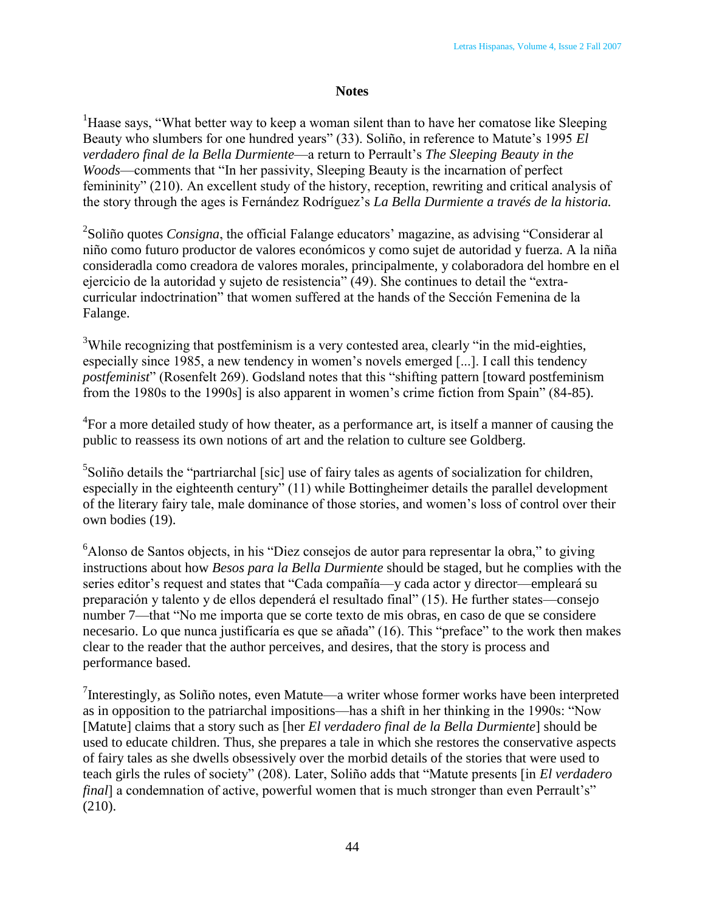## **Notes**

<sup>1</sup>Haase says, "What better way to keep a woman silent than to have her comatose like Sleeping Beauty who slumbers for one hundred years" (33). Soliño, in reference to Matute's 1995 *El verdadero final de la Bella Durmiente*—a return to Perrault"s *The Sleeping Beauty in the Woods*—comments that "In her passivity, Sleeping Beauty is the incarnation of perfect femininity" (210). An excellent study of the history, reception, rewriting and critical analysis of the story through the ages is Fernández Rodríguez"s *La Bella Durmiente a través de la historia.*

<sup>2</sup>Soliño quotes *Consigna*, the official Falange educators' magazine, as advising "Considerar al niño como futuro productor de valores económicos y como sujet de autoridad y fuerza. A la niña consideradla como creadora de valores morales, principalmente, y colaboradora del hombre en el ejercicio de la autoridad y sujeto de resistencia" (49). She continues to detail the "extracurricular indoctrination" that women suffered at the hands of the Sección Femenina de la Falange.

<sup>3</sup>While recognizing that postfeminism is a very contested area, clearly "in the mid-eighties, especially since 1985, a new tendency in women"s novels emerged [...]. I call this tendency *postfeminist*" (Rosenfelt 269). Godsland notes that this "shifting pattern [toward postfeminism from the 1980s to the 1990s] is also apparent in women's crime fiction from Spain" (84-85).

 ${}^{4}$ For a more detailed study of how theater, as a performance art, is itself a manner of causing the public to reassess its own notions of art and the relation to culture see Goldberg.

<sup>5</sup>Soliño details the "partriarchal [sic] use of fairy tales as agents of socialization for children, especially in the eighteenth century" (11) while Bottingheimer details the parallel development of the literary fairy tale, male dominance of those stories, and women"s loss of control over their own bodies (19).

<sup>6</sup>Alonso de Santos objects, in his "Diez consejos de autor para representar la obra," to giving instructions about how *Besos para la Bella Durmiente* should be staged, but he complies with the series editor's request and states that "Cada compañía—y cada actor y director—empleará su preparación y talento y de ellos dependerá el resultado final" (15). He further states—consejo number 7—that "No me importa que se corte texto de mis obras, en caso de que se considere necesario. Lo que nunca justificaría es que se añada" (16). This "preface" to the work then makes clear to the reader that the author perceives, and desires, that the story is process and performance based.

<sup>7</sup>Interestingly, as Soliño notes, even Matute—a writer whose former works have been interpreted as in opposition to the patriarchal impositions—has a shift in her thinking in the 1990s: "Now [Matute] claims that a story such as [her *El verdadero final de la Bella Durmiente*] should be used to educate children. Thus, she prepares a tale in which she restores the conservative aspects of fairy tales as she dwells obsessively over the morbid details of the stories that were used to teach girls the rules of society" (208). Later, Soliño adds that "Matute presents [in *El verdadero final*] a condemnation of active, powerful women that is much stronger than even Perrault's" (210).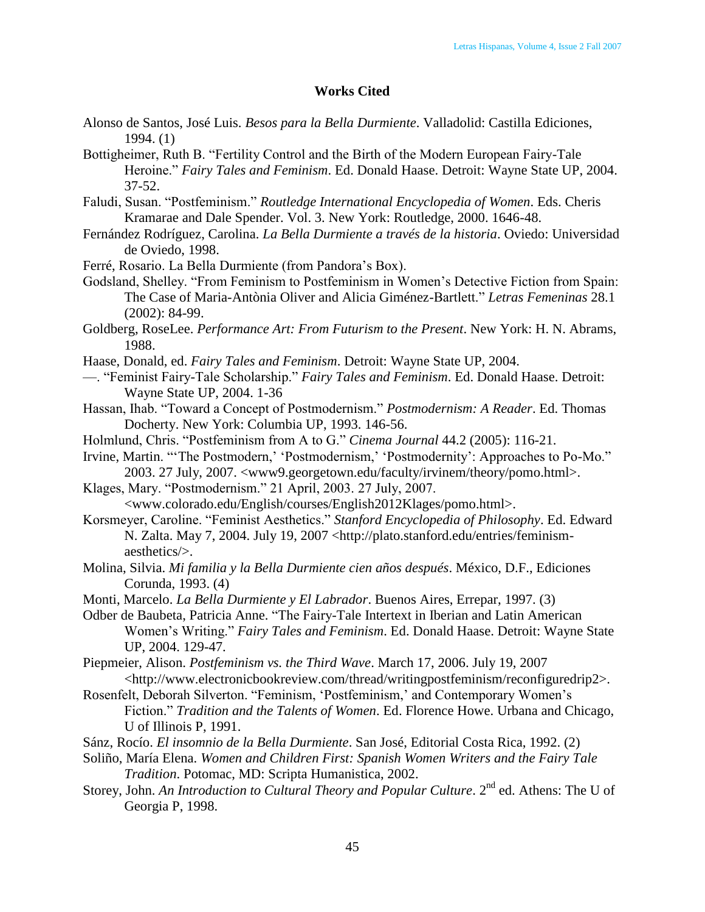## **Works Cited**

- Alonso de Santos, José Luis. *Besos para la Bella Durmiente*. Valladolid: Castilla Ediciones, 1994. (1)
- Bottigheimer, Ruth B. "Fertility Control and the Birth of the Modern European Fairy-Tale Heroine." *Fairy Tales and Feminism*. Ed. Donald Haase. Detroit: Wayne State UP, 2004. 37-52.
- Faludi, Susan. "Postfeminism." *Routledge International Encyclopedia of Women*. Eds. Cheris Kramarae and Dale Spender. Vol. 3. New York: Routledge, 2000. 1646-48.
- Fernández Rodríguez, Carolina. *La Bella Durmiente a través de la historia*. Oviedo: Universidad de Oviedo, 1998.
- Ferré, Rosario. La Bella Durmiente (from Pandora"s Box).
- Godsland, Shelley. "From Feminism to Postfeminism in Women"s Detective Fiction from Spain: The Case of Maria-Antònia Oliver and Alicia Giménez-Bartlett." *Letras Femeninas* 28.1 (2002): 84-99.
- Goldberg, RoseLee. *Performance Art: From Futurism to the Present*. New York: H. N. Abrams, 1988.
- Haase, Donald, ed. *Fairy Tales and Feminism*. Detroit: Wayne State UP, 2004.
- —. "Feminist Fairy-Tale Scholarship." *Fairy Tales and Feminism*. Ed. Donald Haase. Detroit: Wayne State UP, 2004. 1-36
- Hassan, Ihab. "Toward a Concept of Postmodernism." *Postmodernism: A Reader*. Ed. Thomas Docherty. New York: Columbia UP, 1993. 146-56.
- Holmlund, Chris. "Postfeminism from A to G." *Cinema Journal* 44.2 (2005): 116-21.
- Irvine, Martin. ""The Postmodern," 'Postmodernism," 'Postmodernity': Approaches to Po-Mo." 2003. 27 July, 2007. <www9.georgetown.edu/faculty/irvinem/theory/pomo.html>.
- Klages, Mary. "Postmodernism." 21 April, 2003. 27 July, 2007. <www.colorado.edu/English/courses/English2012Klages/pomo.html>.
- Korsmeyer, Caroline. "Feminist Aesthetics." *Stanford Encyclopedia of Philosophy*. Ed. Edward N. Zalta. May 7, 2004. July 19, 2007 <http://plato.stanford.edu/entries/feminismaesthetics/>.
- Molina, Silvia. *Mi familia y la Bella Durmiente cien años después*. México, D.F., Ediciones Corunda, 1993. (4)
- Monti, Marcelo. *La Bella Durmiente y El Labrador*. Buenos Aires, Errepar, 1997. (3)
- Odber de Baubeta, Patricia Anne. "The Fairy-Tale Intertext in Iberian and Latin American Women"s Writing." *Fairy Tales and Feminism*. Ed. Donald Haase. Detroit: Wayne State UP, 2004. 129-47.
- Piepmeier, Alison. *Postfeminism vs. the Third Wave*. March 17, 2006. July 19, 2007 <http://www.electronicbookreview.com/thread/writingpostfeminism/reconfiguredrip2>.
- Rosenfelt, Deborah Silverton. "Feminism, "Postfeminism," and Contemporary Women"s Fiction." *Tradition and the Talents of Women*. Ed. Florence Howe. Urbana and Chicago, U of Illinois P, 1991.
- Sánz, Rocío. *El insomnio de la Bella Durmiente*. San José, Editorial Costa Rica, 1992. (2)
- Soliño, María Elena. *Women and Children First: Spanish Women Writers and the Fairy Tale Tradition*. Potomac, MD: Scripta Humanistica, 2002.
- Storey, John. An Introduction to Cultural Theory and Popular Culture. 2<sup>nd</sup> ed. Athens: The U of Georgia P, 1998.